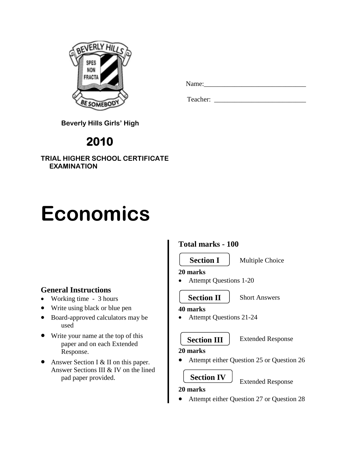

| Name: |  |  |  |
|-------|--|--|--|
|       |  |  |  |

Teacher: \_\_\_\_\_\_\_\_\_\_\_\_\_\_\_\_\_\_\_\_\_\_\_\_\_\_\_

 **Beverly Hills Girls' High**

# **2010**

**TRIAL HIGHER SCHOOL CERTIFICATE EXAMINATION**

# **Economics**

# **General Instructions**

- Working time 3 hours
- Write using black or blue pen
- Board-approved calculators may be used
- Write your name at the top of this paper and on each Extended Response.
- Answer Section I & II on this paper. Answer Sections III & IV on the lined pad paper provided.

# **Total marks - 100**

**Section I**

Multiple Choice

• Attempt Questions 1-20

# **Section II**

**40 marks**

**20 marks**

- Attempt Questions 21-24
	- **Section III**

### Extended Response

Extended Response

Short Answers

# **20 marks**

Attempt either Question 25 or Question 26

# **Section IV**

# **20 marks**

Attempt either Question 27 or Question 28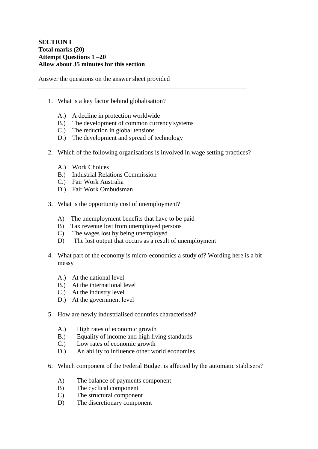#### **SECTION I Total marks (20) Attempt Questions 1 –20 Allow about 35 minutes for this section**

Answer the questions on the answer sheet provided

- 1. What is a key factor behind globalisation?
	- A.) A decline in protection worldwide
	- B.) The development of common currency systems
	- C.) The reduction in global tensions
	- D.) The development and spread of technology
- 2. Which of the following organisations is involved in wage setting practices?

\_\_\_\_\_\_\_\_\_\_\_\_\_\_\_\_\_\_\_\_\_\_\_\_\_\_\_\_\_\_\_\_\_\_\_\_\_\_\_\_\_\_\_\_\_\_\_\_\_\_\_\_\_\_\_\_\_\_\_\_\_\_\_\_\_

- A.) Work Choices
- B.) Industrial Relations Commission
- C.) Fair Work Australia
- D.) Fair Work Ombudsman
- 3. What is the opportunity cost of unemployment?
	- A) The unemployment benefits that have to be paid
	- B) Tax revenue lost from unemployed persons
	- C) The wages lost by being unemployed
	- D) The lost output that occurs as a result of unemployment
- 4. What part of the economy is micro-economics a study of? Wording here is a bit messy
	- A.) At the national level
	- B.) At the international level
	- C.) At the industry level
	- D.) At the government level
- 5. How are newly industrialised countries characterised?
	- A.) High rates of economic growth
	- B.) Equality of income and high living standards
	- C.) Low rates of economic growth
	- D.) An ability to influence other world economies
- 6. Which component of the Federal Budget is affected by the automatic stablisers?
	- A) The balance of payments component
	- B) The cyclical component
	- C) The structural component
	- D) The discretionary component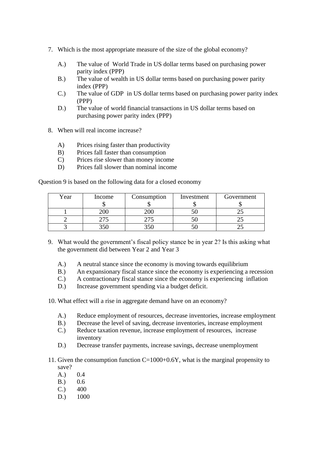- 7. Which is the most appropriate measure of the size of the global economy?
	- A.) The value of World Trade in US dollar terms based on purchasing power parity index (PPP)
	- B.) The value of wealth in US dollar terms based on purchasing power parity index (PPP)
	- C.) The value of GDP in US dollar terms based on purchasing power parity index (PPP)
	- D.) The value of world financial transactions in US dollar terms based on purchasing power parity index (PPP)
- 8. When will real income increase?
	- A) Prices rising faster than productivity
	- B) Prices fall faster than consumption
	- C) Prices rise slower than money income
	- D) Prices fall slower than nominal income

Question 9 is based on the following data for a closed economy

| Year | Income | Consumption | Investment | Government |
|------|--------|-------------|------------|------------|
|      |        |             |            |            |
|      |        |             |            |            |
|      |        |             |            |            |
|      |        |             |            |            |

- 9. What would the government's fiscal policy stance be in year 2? Is this asking what the government did between Year 2 and Year 3
	- A.) A neutral stance since the economy is moving towards equilibrium
	- B.) An expansionary fiscal stance since the economy is experiencing a recession
	- C.) A contractionary fiscal stance since the economy is experiencing inflation
	- D.) Increase government spending via a budget deficit.

10. What effect will a rise in aggregate demand have on an economy?

- A.) Reduce employment of resources, decrease inventories, increase employment
- B.) Decrease the level of saving, decrease inventories, increase employment
- C.) Reduce taxation revenue, increase employment of resources, increase inventory
- D.) Decrease transfer payments, increase savings, decrease unemployment
- 11. Given the consumption function  $C=1000+0.6Y$ , what is the marginal propensity to save?
	- A.) 0.4
	- B.) 0.6
	- $C.$ ) 400
	- D.) 1000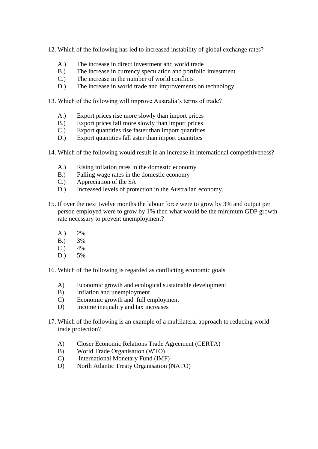- 12. Which of the following has led to increased instability of global exchange rates?
	- A.) The increase in direct investment and world trade
	- B.) The increase in currency speculation and portfolio investment
	- C.) The increase in the number of world conflicts
	- D.) The increase in world trade and improvements on technology
- 13. Which of the following will improve Australia's terms of trade?
	- A.) Export prices rise more slowly than import prices
	- B.) Export prices fall more slowly than import prices
	- C.) Export quantities rise faster than import quantities
	- D.) Export quantities fall aster than import quantities
- 14. Which of the following would result in an increase in international competitiveness?
	- A.) Rising inflation rates in the domestic economy
	- B.) Falling wage rates in the domestic economy
	- C.) Appreciation of the \$A
	- D.) Increased levels of protection in the Australian economy.
- 15. If over the next twelve months the labour force were to grow by 3% and output per person employed were to grow by 1% then what would be the minimum GDP growth rate necessary to prevent unemployment?
	- A.) 2%
	- B.) 3%
	- $C.$ )  $4%$
	- D.) 5%
- 16. Which of the following is regarded as conflicting economic goals
	- A) Economic growth and ecological sustainable development
	- B) Inflation and unemployment
	- C) Economic growth and full employment
	- D) Income inequality and tax increases
- 17. Which of the following is an example of a multilateral approach to reducing world trade protection?
	- A) Closer Economic Relations Trade Agreement (CERTA)
	- B) World Trade Organisation (WTO)
	- C) International Monetary Fund (IMF)
	- D) North Atlantic Treaty Organisation (NATO)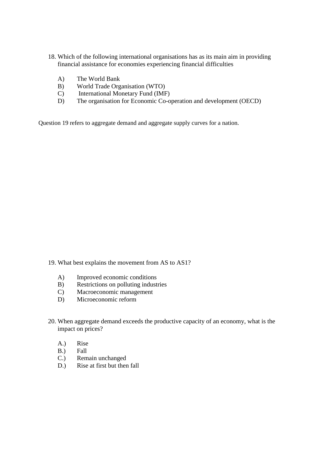- 18. Which of the following international organisations has as its main aim in providing financial assistance for economies experiencing financial difficulties
	- A) The World Bank
	- B) World Trade Organisation (WTO)
	- C) International Monetary Fund (IMF)
	- D) The organisation for Economic Co-operation and development (OECD)

Question 19 refers to aggregate demand and aggregate supply curves for a nation.

- 19. What best explains the movement from AS to AS1?
	- A) Improved economic conditions
	- B) Restrictions on polluting industries
	- C) Macroeconomic management
	- D) Microeconomic reform
- 20. When aggregate demand exceeds the productive capacity of an economy, what is the impact on prices?
	- A.) Rise
	- B.) Fall
	- C.) Remain unchanged
	- D.) Rise at first but then fall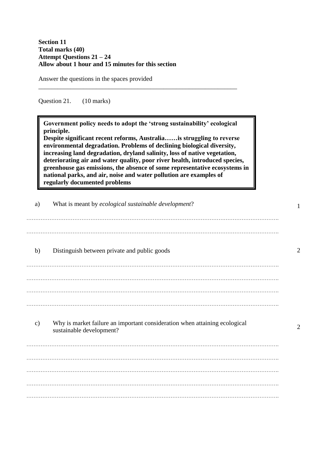#### **Section 11 Total marks (40) Attempt Questions 21 – 24 Allow about 1 hour and 15 minutes for this section**

Answer the questions in the spaces provided

Question 21. (10 marks)

**Government policy needs to adopt the 'strong sustainability' ecological principle.**

\_\_\_\_\_\_\_\_\_\_\_\_\_\_\_\_\_\_\_\_\_\_\_\_\_\_\_\_\_\_\_\_\_\_\_\_\_\_\_\_\_\_\_\_\_\_\_\_\_\_\_\_\_\_\_\_\_\_\_\_\_\_

**Despite significant recent reforms, Australia……is struggling to reverse environmental degradation. Problems of declining biological diversity, increasing land degradation, dryland salinity, loss of native vegetation, deteriorating air and water quality, poor river health, introduced species, greenhouse gas emissions, the absence of some representative ecosystems in national parks, and air, noise and water pollution are examples of regularly documented problems**

| a)            | What is meant by ecological sustainable development?                                                   |                             |
|---------------|--------------------------------------------------------------------------------------------------------|-----------------------------|
| b)            | Distinguish between private and public goods                                                           | 2                           |
|               |                                                                                                        |                             |
| $\mathbf{c})$ | Why is market failure an important consideration when attaining ecological<br>sustainable development? | $\mathcal{D}_{\mathcal{L}}$ |
|               |                                                                                                        |                             |
|               |                                                                                                        |                             |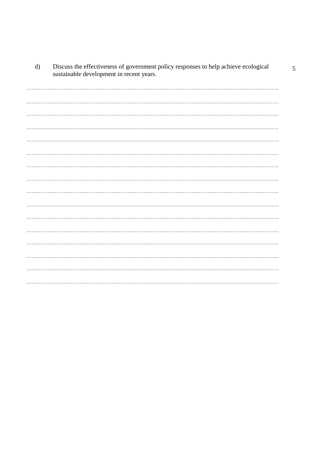| $\mathbf{u}$ | Discuss the effectiveness of government policy responses to help achieve ecological<br>sustainable development in recent years. |
|--------------|---------------------------------------------------------------------------------------------------------------------------------|
|              |                                                                                                                                 |
|              |                                                                                                                                 |
|              |                                                                                                                                 |
|              |                                                                                                                                 |
|              |                                                                                                                                 |
|              |                                                                                                                                 |
|              |                                                                                                                                 |
|              |                                                                                                                                 |
|              |                                                                                                                                 |
|              |                                                                                                                                 |
|              |                                                                                                                                 |
|              |                                                                                                                                 |
|              |                                                                                                                                 |
|              |                                                                                                                                 |
|              |                                                                                                                                 |

 $\overline{d}$ Discuss the effectiveness of government policy responses to help achieve ecological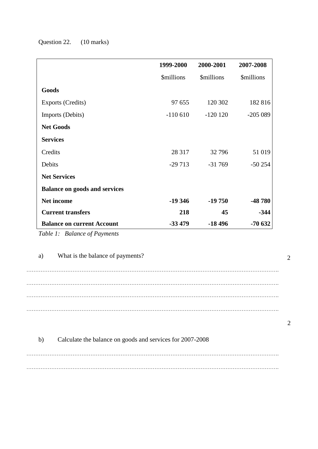## Question 22. (10 marks)

|                                      | 1999-2000                | 2000-2001                | 2007-2008                |
|--------------------------------------|--------------------------|--------------------------|--------------------------|
|                                      | <i><b>\$millions</b></i> | <i><b>\$millions</b></i> | <i><b>\$millions</b></i> |
| Goods                                |                          |                          |                          |
| Exports (Credits)                    | 97 655                   | 120 302                  | 182 816                  |
| Imports (Debits)                     | $-110610$                | $-120120$                | $-205089$                |
| <b>Net Goods</b>                     |                          |                          |                          |
| <b>Services</b>                      |                          |                          |                          |
| Credits                              | 28 317                   | 32796                    | 51 019                   |
| Debits                               | $-29713$                 | $-31769$                 | $-50254$                 |
| <b>Net Services</b>                  |                          |                          |                          |
| <b>Balance on goods and services</b> |                          |                          |                          |
| <b>Net income</b>                    | $-19346$                 | $-19750$                 | -48 780                  |
| <b>Current transfers</b>             | 218                      | 45                       | $-344$                   |
| <b>Balance on current Account</b>    | $-33479$                 | $-18496$                 | $-70632$                 |

*Table 1: Balance of Payments*

a) What is the balance of payments? ……………………………………………………………………………………………………………………………. ……………………………………………………………………………………………………………………………. ……………………………………………………………………………………………………………………………. ……………………………………………………………………………………………………………………………. 2

| I<br>I |
|--------|
|        |
|        |
|        |

| b) | Calculate the balance on goods and services for 2007-2008 |
|----|-----------------------------------------------------------|
|    |                                                           |
|    |                                                           |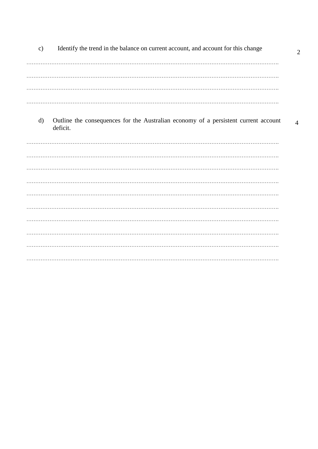| $\mathbf{c})$ | Identify the trend in the balance on current account, and account for this change               | $\overline{2}$ |
|---------------|-------------------------------------------------------------------------------------------------|----------------|
|               |                                                                                                 |                |
|               |                                                                                                 |                |
| $\mathbf{d}$  | Outline the consequences for the Australian economy of a persistent current account<br>deficit. | $\overline{4}$ |
|               |                                                                                                 |                |
|               |                                                                                                 |                |
|               |                                                                                                 |                |
|               |                                                                                                 |                |
|               |                                                                                                 |                |
|               |                                                                                                 |                |
|               |                                                                                                 |                |
|               |                                                                                                 |                |
|               |                                                                                                 |                |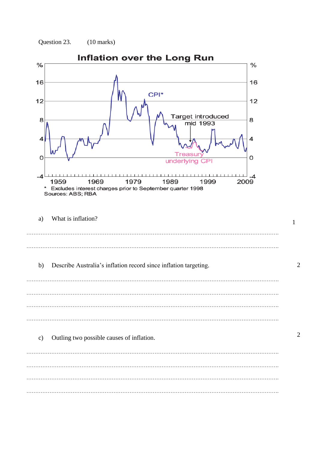



 $\overline{2}$ 

 $\overline{2}$ 

 $\mathbf{1}$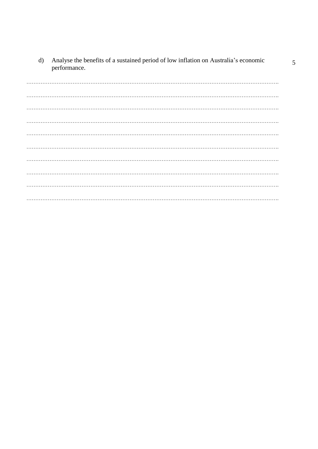Analyse the benefits of a sustained period of low inflation on Australia's economic  $\mathbf{d}$ performance.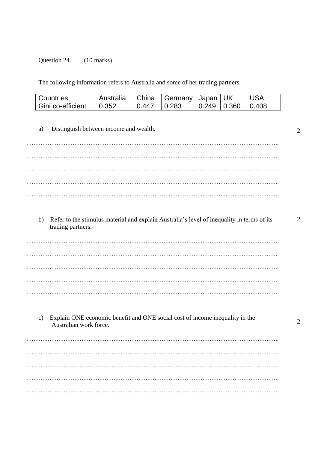Question 24. (10 marks)

The following information refers to Australia and some of her trading partners.

| Countries           | Australia     | l China | ↓   Germany   Japan   UK |                                       | USA |
|---------------------|---------------|---------|--------------------------|---------------------------------------|-----|
| l Gini co-efficient | $\big  0.352$ | 0.447   | $\mid$ 0.283             | $\vert 0.249 \vert 0.360 \vert 0.408$ |     |

a) Distinguish between income and wealth. ……………………………………………………………………………………………………………………………. . The contract of the contract of the contract of the contract of the contract of the contract of the contract of the contract of the contract of the contract of the contract of the contract of the contract of the contrac ……………………………………………………………………………………………………………………………. ……………………………………………………………………………………………………………………………. ……………………………………………………………………………………………………………………………. b) Refer to the stimulus material and explain Australia's level of inequality in terms of its trading partners. ……………………………………………………………………………………………………………………………. ……………………………………………………………………………………………………………………………. ……………………………………………………………………………………………………………………………. . The contract of the contract of the contract of the contract of the contract of the contract of the contract of the contract of the contract of the contract of the contract of the contract of the contract of the contrac ……………………………………………………………………………………………………………………………. c) Explain ONE economic benefit and ONE social cost of income inequality in the Australian work force. ……………………………………………………………………………………………………………………………. ……………………………………………………………………………………………………………………………. …………………………………………………………………………………………………………………………….

…………………………………………………………………………………………………………………………….

…………………………………………………………………………………………………………………………….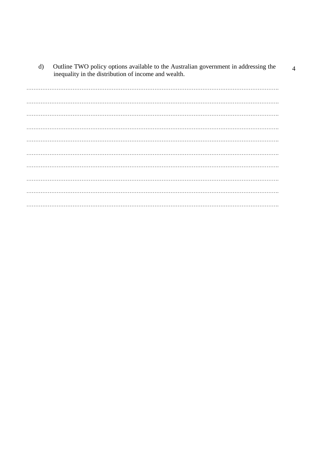Outline TWO policy options available to the Australian government in addressing the inequality in the distribution of income and wealth. 

 $\overline{4}$ 

 $d)$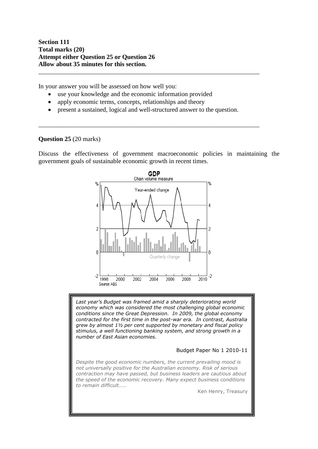**Section 111 Total marks (20) Attempt either Question 25 or Question 26 Allow about 35 minutes for this section.**

In your answer you will be assessed on how well you:

- use your knowledge and the economic information provided
- apply economic terms, concepts, relationships and theory
- present a sustained, logical and well-structured answer to the question.

\_\_\_\_\_\_\_\_\_\_\_\_\_\_\_\_\_\_\_\_\_\_\_\_\_\_\_\_\_\_\_\_\_\_\_\_\_\_\_\_\_\_\_\_\_\_\_\_\_\_\_\_\_\_\_\_\_\_\_\_\_\_\_\_\_\_\_\_\_

\_\_\_\_\_\_\_\_\_\_\_\_\_\_\_\_\_\_\_\_\_\_\_\_\_\_\_\_\_\_\_\_\_\_\_\_\_\_\_\_\_\_\_\_\_\_\_\_\_\_\_\_\_\_\_\_\_\_\_\_\_\_\_\_\_\_\_\_\_

#### **Question 25** (20 marks)

Discuss the effectiveness of government macroeconomic policies in maintaining the government goals of sustainable economic growth in recent times.



*Last year's Budget was framed amid a sharply deteriorating world economy which was considered the most challenging global economic conditions since the Great Depression. In 2009, the global economy contracted for the first time in the post-war era. In contrast, Australia grew by almost 1½ per cent supported by monetary and fiscal policy stimulus, a well functioning banking system, and strong growth in a number of East Asian economies.*

#### Budget Paper No 1 2010-11

*Despite the good economic numbers, the current prevailing mood is not universally positive for the Australian economy. Risk of serious contraction may have passed, but business leaders are cautious about the speed of the economic recovery. Many expect business conditions to remain difficult…..*

Ken Henry, Treasury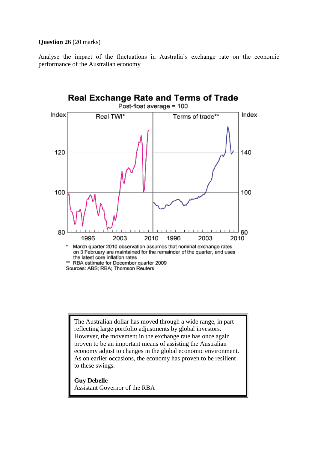#### **Question 26** (20 marks)

Analyse the impact of the fluctuations in Australia's exchange rate on the economic performance of the Australian economy



The Australian dollar has moved through a wide range, in part reflecting large portfolio adjustments by global investors. However, the movement in the exchange rate has once again proven to be an important means of assisting the Australian economy adjust to changes in the global economic environment. As on earlier occasions, the economy has proven to be resilient to these swings.

#### **Guy Debelle**

Assistant Governor of the RBA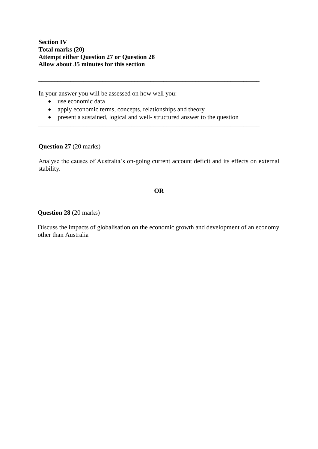**Section IV Total marks (20) Attempt either Question 27 or Question 28 Allow about 35 minutes for this section**

In your answer you will be assessed on how well you:

- use economic data
- apply economic terms, concepts, relationships and theory
- present a sustained, logical and well- structured answer to the question

\_\_\_\_\_\_\_\_\_\_\_\_\_\_\_\_\_\_\_\_\_\_\_\_\_\_\_\_\_\_\_\_\_\_\_\_\_\_\_\_\_\_\_\_\_\_\_\_\_\_\_\_\_\_\_\_\_\_\_\_\_\_\_\_\_\_\_\_\_

\_\_\_\_\_\_\_\_\_\_\_\_\_\_\_\_\_\_\_\_\_\_\_\_\_\_\_\_\_\_\_\_\_\_\_\_\_\_\_\_\_\_\_\_\_\_\_\_\_\_\_\_\_\_\_\_\_\_\_\_\_\_\_\_\_\_\_\_\_

#### **Question 27** (20 marks)

Analyse the causes of Australia's on-going current account deficit and its effects on external stability.

#### **OR**

#### **Question 28** (20 marks)

Discuss the impacts of globalisation on the economic growth and development of an economy other than Australia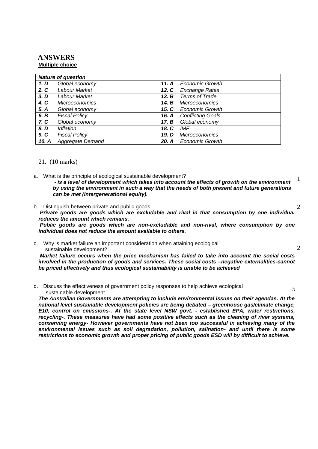#### **ANSWERS Multiple choice**

|       | <b>Nature of question</b> |         |                          |
|-------|---------------------------|---------|--------------------------|
| 1. D  | Global economy            | 11. $A$ | <b>Economic Growth</b>   |
| 2. C  | Labour Market             | 12. C   | <b>Exchange Rates</b>    |
| 3. D  | Labour Market             | 13. B   | Terms of Trade           |
| 4. C  | <b>Microeconomics</b>     | 14. B   | <i>Microeconomics</i>    |
| 5. A  | Global economy            | 15. C   | <b>Economic Growth</b>   |
| 6. B  | <b>Fiscal Policy</b>      | 16. A   | <b>Conflicting Goals</b> |
| 7. C  | Global economy            | 17. B   | Global economy           |
| 8. D  | <i><b>Inflation</b></i>   | 18. C   | IMF                      |
| 9. C  | <b>Fiscal Policy</b>      | 19. D   | <b>Microeconomics</b>    |
| 10. A | Aggregate Demand          | 20. A   | <b>Economic Growth</b>   |

#### 21. (10 marks)

- a. What is the principle of ecological sustainable development? *- is a level of development which takes into account the effects of growth on the environment by using the environment in such a way that the needs of both present and future generations can be met (intergenerational equity).* 1
- b. Distinguish between private and public goods *Private goods are goods which are excludable and rival in that consumption by one individual reduces the amount which remains. Public goods are goods which are non-excludable and non-rival, where consumption by one individual does not reduce the amount available to others.* 2
- c. Why is market failure an important consideration when attaining ecological sustainable development? *Market failure occurs when the price mechanism has failed to take into account the social costs involved in the production of goods and services. These social costs –negative externalities-cannot be priced effectively and thus ecological sustainability is unable to be achieved*  $\mathfrak{D}$
- d. Discuss the effectiveness of government policy responses to help achieve ecological sustainable development

*The Australian Governments are attempting to include environmental issues on their agendas. At the national level sustainable development policies are being debated – greenhouse gas/climate change, E10, control on emissions-. At the state level NSW govt. - established EPA, water restrictions, recycling-. These measures have had some positive effects such as the cleaning of river systems, conserving energy- However governments have not been too successful in achieving many of the environmental issues such as soil degradation, pollution, salination- and until there is some restrictions to economic growth and proper pricing of public goods ESD will by difficult to achieve.*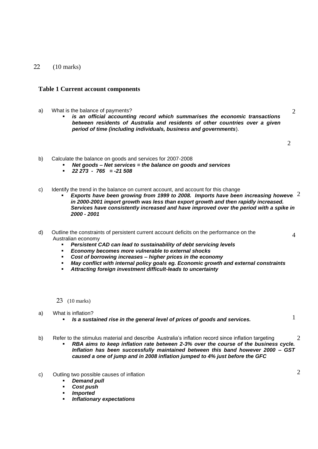#### 22 (10 marks)

#### **Table 1 Current account components**

- a) What is the balance of payments?
	- *is an official accounting record which summarises the economic transactions between residents of Australia and residents of other countries over a given period of time (including individuals, business and governments*).

2

4

2

- b) Calculate the balance on goods and services for 2007-2008
	- *Net goods – Net services = the balance on goods and services*
		- *22 273 765 = -21 508*
- c) Identify the trend in the balance on current account, and account for this change
	- **Exports have been growing from 1999 to 2008. Imports have been increasing howeve** 2 *in 2000-2001 import growth was less than export growth and then rapidly increased. Services have consistently increased and have improved over the period with a spike in 2000 - 2001*
- d) Outline the constraints of persistent current account deficits on the performance on the Australian economy
	- *Persistent CAD can lead to sustainability of debt servicing levels*
	- *Economy becomes more vulnerable to external shocks*
	- *Cost of borrowing increases – higher prices in the economy*
	- *May conflict with internal policy goals eg. Economic growth and external constraints*
	- *Attracting foreign investment difficult-leads to uncertainty*

23 (10 marks)

- a) What is inflation?
	- *Is a sustained rise in the general level of prices of goods and services.*
- b) Refer to the stimulus material and describe Australia's inflation record since inflation targeting 2
	- *RBA aims to keep inflation rate between 2-3% over the course of the business cycle. Inflation has been successfully maintained between this band however 2000 – GST caused a one of jump and in 2008 inflation jumped to 4% just before the GFC*
- c) Outling two possible causes of inflation
	- *Demand pull*
	- *Cost push*
	- *Imported*
	- *Inflationary expectations*

2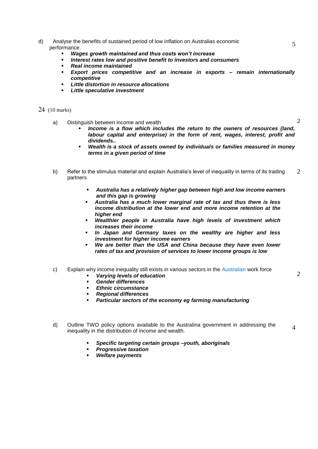- d) Analyse the benefits of sustained period of low inflation on Australias economic performance.
	- *Wages growth maintained and thus costs won't increase*
	- *Interest rates low and positive benefit to investors and consumers*
	- *Real income maintained*
	- *Export prices competitive and an increase in exports – remain internationally competitive*
	- *Little distortion in resource allocations*
	- *Little speculative investment*

#### 24 (10 marks)

- a) Distinguish between income and wealth
	- *Income is a flow which includes the return to the owners of resources (land, labour capital and enterprise) in the form of rent, wages, interest, profit and dividends..*
	- *Wealth is a stock of assets owned by individuals or families measured in money terms in a given period of time*
- b) Refer to the stimulus material and explain Australia's level of inequality in terms of its trading partners 2
	- *Australia has a relatively higher gap between high and low income earners and this gap is growing*
	- *Australia has a much lower marginal rate of tax and thus there is less income distribution at the lower end and more income retention at the higher end*
	- *Wealthier people in Australia have high levels of investment which increases their income*
	- *In Japan and Germany taxes on the wealthy are higher and less investment for higher income earners*
	- *We are better than the USA and China because they have even lower rates of tax and provision of services to lower income groups is low*
- c) Explain why income inequality still exists in various sectors in the Australian work force
	- *Varying levels of education*
	- *Gender differences*
	- *Ethnic circumstance*
	- *Regional differences*
	- *Particular sectors of the economy eg farming manufacturing*
- d) Outline TWO policy options available to the Australina government in addressing the inequality in the distribution of income and wealth.
	- *Specific targeting certain groups –youth, aboriginals*
	- *Progressive taxation*
	- *Welfare payments*

 $\mathfrak{D}$ 

 $\mathfrak{D}$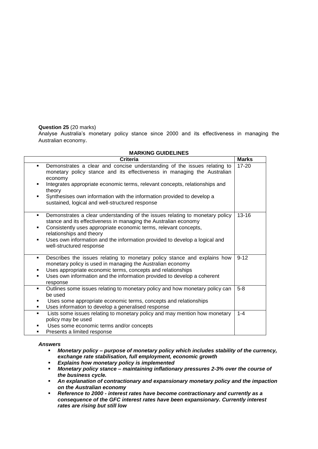#### **Question 25** (20 marks)

Analyse Australia's monetary policy stance since 2000 and its effectiveness in managing the Australian economy.

| <b>Criteria</b>                                                                                                                                                                                                                                                                                                                                                                                             | <b>Marks</b> |
|-------------------------------------------------------------------------------------------------------------------------------------------------------------------------------------------------------------------------------------------------------------------------------------------------------------------------------------------------------------------------------------------------------------|--------------|
| Demonstrates a clear and concise understanding of the issues relating to<br>$\blacksquare$<br>monetary policy stance and its effectiveness in managing the Australian<br>economy<br>Integrates appropriate economic terms, relevant concepts, relationships and<br>٠<br>theory<br>Synthesises own information with the information provided to develop a<br>sustained, logical and well-structured response | $17 - 20$    |
| Demonstrates a clear understanding of the issues relating to monetary policy<br>٠<br>stance and its effectiveness in managing the Australian economy<br>Consistently uses appropriate economic terms, relevant concepts,<br>٠<br>relationships and theory<br>Uses own information and the information provided to develop a logical and<br>٠<br>well-structured response                                    | $13 - 16$    |
| Describes the issues relating to monetary policy stance and explains how<br>٠<br>monetary policy is used in managing the Australian economy<br>Uses appropriate economic terms, concepts and relationships<br>Uses own information and the information provided to develop a coherent<br>٠<br>response                                                                                                      | $9 - 12$     |
| Outlines some issues relating to monetary policy and how monetary policy can<br>$\blacksquare$<br>be used<br>Uses some appropriate economic terms, concepts and relationships<br>Uses information to develop a generalised response<br>٠                                                                                                                                                                    | $5-8$        |
| Lists some issues relating to monetary policy and may mention how monetary<br>policy may be used<br>Uses some economic terms and/or concepts<br>Presents a limited response<br>٠                                                                                                                                                                                                                            | $1 - 4$      |

#### **MARKING GUIDELINES**

#### *Answers*

- *Monetary policy – purpose of monetary policy which includes stability of the currency, exchange rate stabilisation, full employment, economic growth*
- *Explains how monetary policy is implemented*
- *Monetary policy stance – maintaining inflationary pressures 2-3% over the course of the business cycle.*
- *An explanation of contractionary and expansionary monetary policy and the impaction on the Australian economy*
- *Reference to 2000 - interest rates have become contractionary and currently as a consequence of the GFC interest rates have been expansionary. Currently interest rates are rising but still low*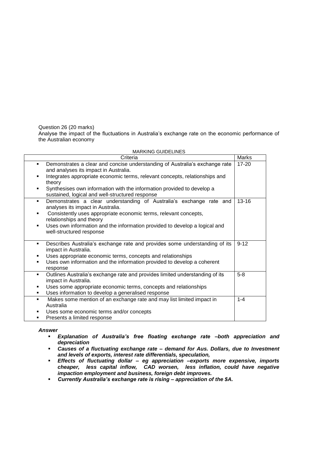Question 26 (20 marks)

Analyse the impact of the fluctuations in Australia's exchange rate on the economic performance of the Australian economy

MARKING GUIDELINES

| Criteria                                                                                                                       | Marks     |
|--------------------------------------------------------------------------------------------------------------------------------|-----------|
| Demonstrates a clear and concise understanding of Australia's exchange rate<br>and analyses its impact in Australia.           | 17-20     |
| Integrates appropriate economic terms, relevant concepts, relationships and<br>٠<br>theory                                     |           |
| Synthesises own information with the information provided to develop a<br>٠<br>sustained, logical and well-structured response |           |
| Demonstrates a clear understanding of Australia's exchange rate and<br>٠<br>analyses its impact in Australia.                  | $13 - 16$ |
| Consistently uses appropriate economic terms, relevant concepts,<br>٠<br>relationships and theory                              |           |
| Uses own information and the information provided to develop a logical and<br>well-structured response                         |           |
| Describes Australia's exchange rate and provides some understanding of its<br>٠<br>impact in Australia.                        | $9 - 12$  |
| Uses appropriate economic terms, concepts and relationships<br>٠                                                               |           |
| Uses own information and the information provided to develop a coherent<br>٠<br>response                                       |           |
| Outlines Australia's exchange rate and provides limited understanding of its<br>٠<br>impact in Australia.                      | $5-8$     |
| Uses some appropriate economic terms, concepts and relationships<br>٠                                                          |           |
| Uses information to develop a generalised response<br>٠                                                                        |           |
| Makes some mention of an exchange rate and may list limited impact in<br>Australia                                             | $1 - 4$   |
| Uses some economic terms and/or concepts<br>٠                                                                                  |           |
| Presents a limited response<br>٠                                                                                               |           |

#### *Answer*

- *Explanation of Australia's free floating exchange rate –both appreciation and depreciation*
- *Causes of a fluctuating exchange rate – demand for Aus. Dollars, due to Investment and levels of exports, interest rate differentials, speculation,*
- *Effects of fluctuating dollar – eg appreciation –exports more expensive, imports cheaper, less capital inflow, CAD worsen, less inflation, could have negative impaction employment and business, foreign debt improves.*
- *Currently Australia's exchange rate is rising – appreciation of the \$A.*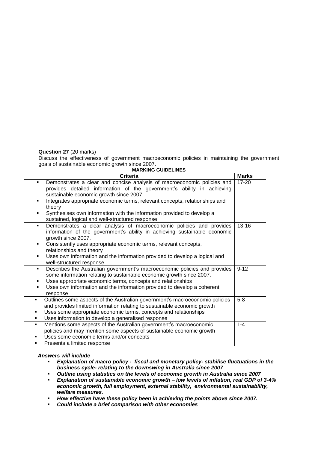#### **Question 27** (20 marks)

Discuss the effectiveness of government macroeconomic policies in maintaining the government goals of sustainable economic growth since 2007.

| <b>MARKING GUIDELINES</b>                                                                                                                                                                                                                                                                                                                                                                                                          |              |  |  |
|------------------------------------------------------------------------------------------------------------------------------------------------------------------------------------------------------------------------------------------------------------------------------------------------------------------------------------------------------------------------------------------------------------------------------------|--------------|--|--|
| <b>Criteria</b>                                                                                                                                                                                                                                                                                                                                                                                                                    | <b>Marks</b> |  |  |
| Demonstrates a clear and concise analysis of macroeconomic policies and<br>п.<br>provides detailed information of the government's ability in achieving<br>sustainable economic growth since 2007.<br>Integrates appropriate economic terms, relevant concepts, relationships and<br>٠<br>theory<br>Synthesises own information with the information provided to develop a<br>٠<br>sustained, logical and well-structured response | $17 - 20$    |  |  |
| Demonstrates a clear analysis of macroeconomic policies and provides<br>$\blacksquare$<br>information of the government's ability in achieving sustainable economic<br>growth since 2007.<br>Consistently uses appropriate economic terms, relevant concepts,<br>٠<br>relationships and theory<br>Uses own information and the information provided to develop a logical and<br>well-structured response                           | $13 - 16$    |  |  |
| Describes the Australian government's macroeconomic policies and provides<br>٠<br>some information relating to sustainable economic growth since 2007.<br>Uses appropriate economic terms, concepts and relationships<br>٠<br>Uses own information and the information provided to develop a coherent<br>٠<br>response                                                                                                             | $9 - 12$     |  |  |
| Outlines some aspects of the Australian government's macroeconomic policies<br>٠<br>and provides limited information relating to sustainable economic growth<br>Uses some appropriate economic terms, concepts and relationships<br>٠<br>Uses information to develop a generalised response<br>٠                                                                                                                                   | $5-8$        |  |  |
| Mentions some aspects of the Australian government's macroeconomic<br>$\blacksquare$<br>policies and may mention some aspects of sustainable economic growth<br>Uses some economic terms and/or concepts<br>٠<br>Presents a limited response                                                                                                                                                                                       | $1 - 4$      |  |  |

#### *Answers will include*

- *Explanation of macro policy fiscal and monetary policy- stabilise fluctuations in the business cycle- relating to the downswing in Australia since 2007*
- *Outline using statistics on the levels of economic growth in Australia since 2007*
- *Explanation of sustainable economic growth – low levels of inflation, real GDP of 3-4% economic growth, full employment, external stability, environmental sustainability, welfare measures.*
- *How effective have these policy been in achieving the points above since 2007.*
- *Could include a brief comparison with other economies*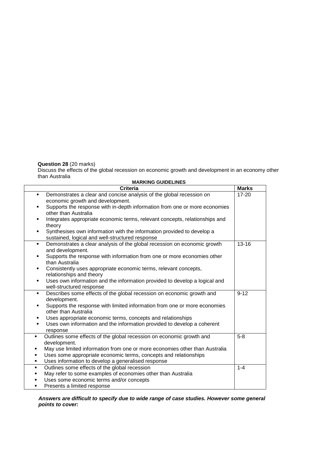#### **Question 28** (20 marks)

Discuss the effects of the global recession on economic growth and development in an economy other than Australia

| <b>MARKING GUIDELINES</b>                                                                                                                                                                                                                                                                                                                                            |              |
|----------------------------------------------------------------------------------------------------------------------------------------------------------------------------------------------------------------------------------------------------------------------------------------------------------------------------------------------------------------------|--------------|
| Criteria                                                                                                                                                                                                                                                                                                                                                             | <b>Marks</b> |
| Demonstrates a clear and concise analysis of the global recession on<br>$\blacksquare$<br>economic growth and development.<br>Supports the response with in-depth information from one or more economies<br>٠<br>other than Australia                                                                                                                                | $17 - 20$    |
| Integrates appropriate economic terms, relevant concepts, relationships and<br>٠<br>theory<br>Synthesises own information with the information provided to develop a<br>٠<br>sustained, logical and well-structured response                                                                                                                                         |              |
| Demonstrates a clear analysis of the global recession on economic growth<br>٠<br>and development.<br>Supports the response with information from one or more economies other<br>٠<br>than Australia<br>Consistently uses appropriate economic terms, relevant concepts,<br>٠                                                                                         | $13 - 16$    |
| relationships and theory<br>Uses own information and the information provided to develop a logical and<br>٠<br>well-structured response                                                                                                                                                                                                                              |              |
| Describes some effects of the global recession on economic growth and<br>٠<br>development.<br>Supports the response with limited information from one or more economies<br>٠<br>other than Australia<br>Uses appropriate economic terms, concepts and relationships<br>٠<br>Uses own information and the information provided to develop a coherent<br>٠<br>response | $9 - 12$     |
| Outlines some effects of the global recession on economic growth and<br>٠<br>development.<br>May use limited information from one or more economies other than Australia<br>٠<br>Uses some appropriate economic terms, concepts and relationships<br>٠<br>Uses information to develop a generalised response<br>٠                                                    | $5 - 8$      |
| Outlines some effects of the global recession<br>٠<br>May refer to some examples of economies other than Australia<br>٠<br>Uses some economic terms and/or concepts<br>٠<br>Presents a limited response<br>٠                                                                                                                                                         | $1 - 4$      |

*Answers are difficult to specify due to wide range of case studies. However some general points to cover:*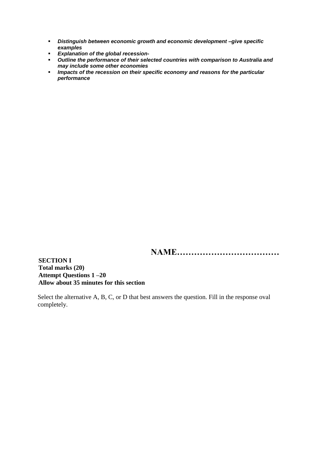- *Distinguish between economic growth and economic development –give specific examples*
- *Explanation of the global recession-*
- *Outline the performance of their selected countries with comparison to Australia and may include some other economies*
- *Impacts of the recession on their specific economy and reasons for the particular performance*

**NAME………………………………**

**SECTION I Total marks (20) Attempt Questions 1 –20 Allow about 35 minutes for this section**

Select the alternative A, B, C, or D that best answers the question. Fill in the response oval completely.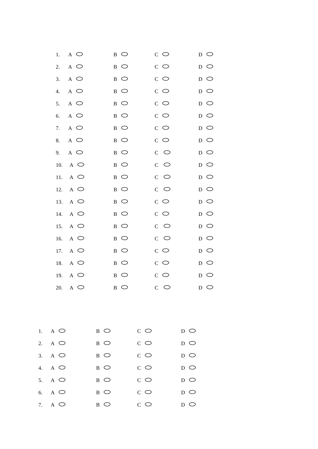| $A$ $\bigcirc$<br>1.  | $_{\rm B}$ $\circ$ | $C$ $\bigcirc$          | $D$ $\bigcirc$                                |
|-----------------------|--------------------|-------------------------|-----------------------------------------------|
| $A$ $\bigcirc$<br>2.  | $_{\rm B}$ $\circ$ | $\rm{c}$ $\circ$        | $D$ $\bigcirc$                                |
| 3.<br>$A$ $\bigcirc$  | $B$ $\bigcirc$     | $C$ $\bigcirc$          | $D$ $\bigcirc$                                |
| $A$ $\bigcirc$<br>4.  | $B$ $\bigcirc$     | $C$ $\circlearrowright$ | $D$ $\bigcirc$                                |
| $A$ $\bigcirc$<br>5.  | $B$ $\bigcirc$     | $C$ $\circlearrowright$ | $D$ $\bigcirc$                                |
| $A$ $\bigcirc$<br>6.  | $B$ $\bigcirc$     | $C$ $\circlearrowright$ | $D$ $\bigcirc$                                |
| $\wedge$<br>7.        | $B$ $\bigcirc$     | $C$ $\circlearrowright$ | $D$ $\bigcirc$                                |
| $A$ $\bigcirc$<br>8.  | $B$ $\bigcirc$     | $C$ $\bigcirc$          | $D$ $\bigcirc$                                |
| $\wedge$<br>9.        | $B$ $\bigcirc$     | $C$ $\circlearrowright$ | $D$ $\bigcirc$                                |
| $\wedge$<br>10.       | $B$ $\bigcirc$     | $C$ $\circlearrowright$ | $D$ $\bigcirc$                                |
| $A$ $\bigcirc$<br>11. | $B$ $\bigcirc$     | $C$ $\circlearrowright$ | $D$ $\bigcirc$                                |
| 12.<br>$A$ $\bigcirc$ | $B$ $\bigcirc$     | $C$ $\circlearrowright$ | $D$ $\bigcirc$                                |
| 13.<br>$A$ $\bigcirc$ | $B$ $\bigcirc$     | $C$ $\circlearrowright$ | $D$ $\bigcirc$                                |
| $A$ $\bigcirc$<br>14. | $B$ $\bigcirc$     | $C$ $\bigcirc$          | $D$ $\bigcirc$                                |
| $A$ $\bigcirc$<br>15. | $B$ $\bigcirc$     | $C$ $\circlearrowright$ | $D$ O                                         |
| 16.<br>$\wedge$       | $B$ $\bigcirc$     | $C$ $\circlearrowright$ | $D$ $\bigcirc$                                |
| $A$ $\bigcirc$<br>17. | $B$ $\bigcirc$     | $C$ $\bigcirc$          | $D$ $\bigcirc$                                |
| 18.<br>$A$ $\bigcirc$ | $_{\rm B}$ $\circ$ | $C$ $\circlearrowright$ | $D$ $\bigcirc$                                |
| 19.<br>$A$ $\bigcirc$ | $_{\rm B}$ $\circ$ | $C$ $\circlearrowright$ | $D$ $\bigcirc$                                |
| 20. A $\bigcirc$      | B O                | $C$ $\circlearrowright$ | D O                                           |
|                       |                    |                         |                                               |
| A $\circ$             | $B$ $\bigcirc$     | $C$ $\circlearrowright$ | $D$ $\bigcirc$                                |
| $A$ $\bigcirc$        | $B$ $\bigcirc$     | $\rm c$ $\circ$         | $D$ $\bigcirc$                                |
| A $\circ$             | $B$ $\bigcirc$     | $\rm c$ $\circ$         | $\, {\scriptstyle\mathrm D} \,$ $\, \bigcirc$ |
| A $\circ$             | $B$ $\bigcirc$     | $\rm c$ $\circ$         | $\, {\scriptstyle\mathrm D} \,$ $\, \bigcirc$ |
| A $\circ$             | $B$ $\bigcirc$     | $C$ $\circlearrowright$ | $D$ $\bigcirc$                                |
| $A$ $\bigcirc$        | $B$ $\bigcirc$     | $C$ $\circlearrowright$ | $D$ $\bigcirc$                                |
| A $\circ$             | $B$ $\bigcirc$     | $C$ $\bigcirc$          | $D$ $\bigcirc$                                |

 $\overline{1}$ .

 $\overline{2}$ .

 $\overline{3}$ .

4.

5.

6.

7.